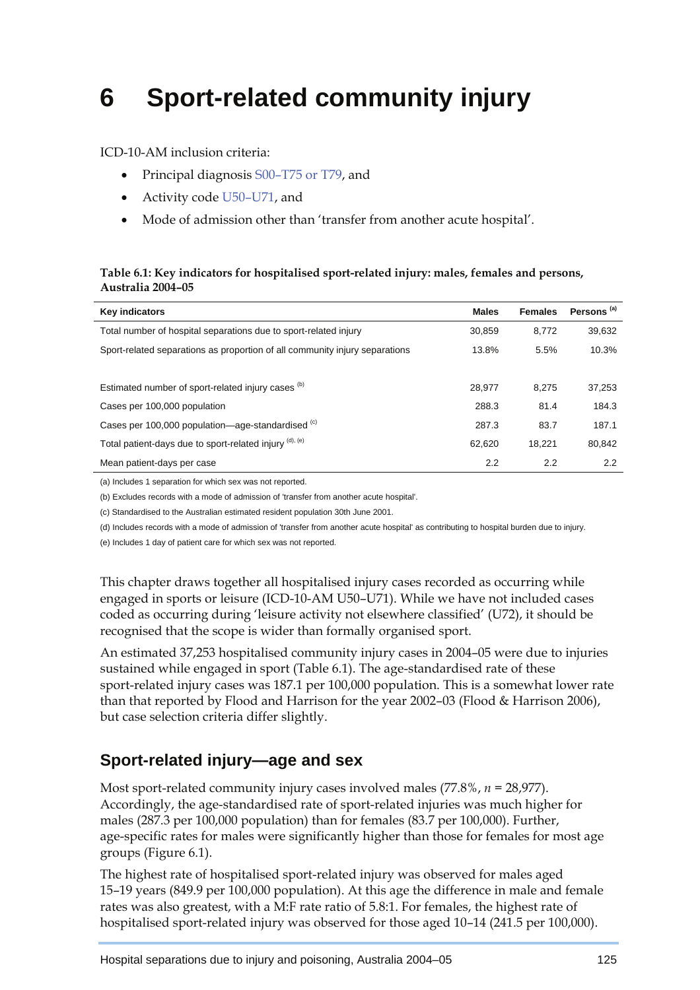# **6 Sport-related community injury**

ICD-10-AM inclusion criteria:

- Principal diagnosis S00–T75 or T79, and
- Activity code U50–U71, and
- Mode of admission other than 'transfer from another acute hospital'.

#### **Table 6.1: Key indicators for hospitalised sport-related injury: males, females and persons, Australia 2004–05**

| <b>Key indicators</b>                                                       | <b>Males</b> | <b>Females</b> | Persons <sup>(a)</sup> |
|-----------------------------------------------------------------------------|--------------|----------------|------------------------|
| Total number of hospital separations due to sport-related injury            | 30.859       | 8.772          | 39,632                 |
| Sport-related separations as proportion of all community injury separations | 13.8%        | 5.5%           | 10.3%                  |
|                                                                             |              |                |                        |
| Estimated number of sport-related injury cases (b)                          | 28.977       | 8.275          | 37,253                 |
| Cases per 100,000 population                                                | 288.3        | 81.4           | 184.3                  |
| Cases per 100,000 population—age-standardised (c)                           | 287.3        | 83.7           | 187.1                  |
| Total patient-days due to sport-related injury (d), (e)                     | 62.620       | 18.221         | 80,842                 |
| Mean patient-days per case                                                  | 2.2          | 2.2            | $2.2^{\circ}$          |

(a) Includes 1 separation for which sex was not reported.

(b) Excludes records with a mode of admission of 'transfer from another acute hospital'.

(c) Standardised to the Australian estimated resident population 30th June 2001.

(d) Includes records with a mode of admission of 'transfer from another acute hospital' as contributing to hospital burden due to injury.

(e) Includes 1 day of patient care for which sex was not reported.

This chapter draws together all hospitalised injury cases recorded as occurring while engaged in sports or leisure (ICD-10-AM U50–U71). While we have not included cases coded as occurring during 'leisure activity not elsewhere classified' (U72), it should be recognised that the scope is wider than formally organised sport.

An estimated 37,253 hospitalised community injury cases in 2004–05 were due to injuries sustained while engaged in sport (Table 6.1). The age-standardised rate of these sport-related injury cases was 187.1 per 100,000 population. This is a somewhat lower rate than that reported by Flood and Harrison for the year 2002–03 (Flood & Harrison 2006), but case selection criteria differ slightly.

## **Sport-related injury—age and sex**

Most sport-related community injury cases involved males (77.8%, *n =* 28,977). Accordingly, the age-standardised rate of sport-related injuries was much higher for males (287.3 per 100,000 population) than for females (83.7 per 100,000). Further, age-specific rates for males were significantly higher than those for females for most age groups (Figure 6.1).

The highest rate of hospitalised sport-related injury was observed for males aged 15–19 years (849.9 per 100,000 population). At this age the difference in male and female rates was also greatest, with a M:F rate ratio of 5.8:1. For females, the highest rate of hospitalised sport-related injury was observed for those aged 10–14 (241.5 per 100,000).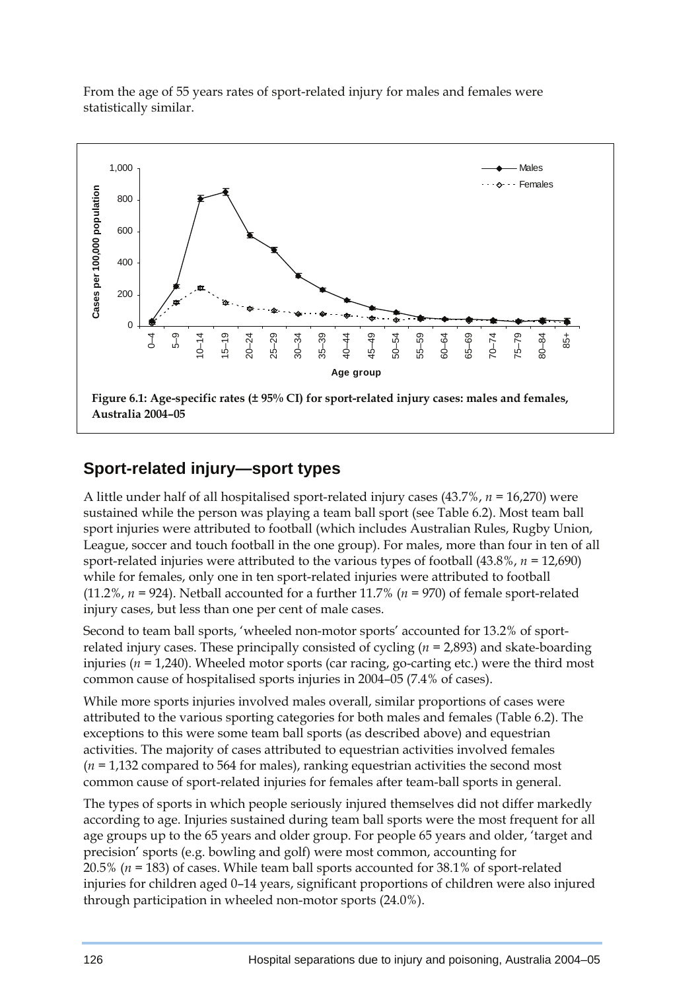From the age of 55 years rates of sport-related injury for males and females were statistically similar.



## **Sport-related injury—sport types**

A little under half of all hospitalised sport-related injury cases (43.7%, *n =* 16,270) were sustained while the person was playing a team ball sport (see Table 6.2). Most team ball sport injuries were attributed to football (which includes Australian Rules, Rugby Union, League, soccer and touch football in the one group). For males, more than four in ten of all sport-related injuries were attributed to the various types of football (43.8%, *n =* 12,690) while for females, only one in ten sport-related injuries were attributed to football (11.2%, *n =* 924). Netball accounted for a further 11.7% (*n =* 970) of female sport-related injury cases, but less than one per cent of male cases.

Second to team ball sports, 'wheeled non-motor sports' accounted for 13.2% of sportrelated injury cases. These principally consisted of cycling (*n =* 2,893) and skate-boarding injuries (*n =* 1,240). Wheeled motor sports (car racing, go-carting etc.) were the third most common cause of hospitalised sports injuries in 2004–05 (7.4% of cases).

While more sports injuries involved males overall, similar proportions of cases were attributed to the various sporting categories for both males and females (Table 6.2). The exceptions to this were some team ball sports (as described above) and equestrian activities. The majority of cases attributed to equestrian activities involved females (*n =* 1,132 compared to 564 for males), ranking equestrian activities the second most common cause of sport-related injuries for females after team-ball sports in general.

The types of sports in which people seriously injured themselves did not differ markedly according to age. Injuries sustained during team ball sports were the most frequent for all age groups up to the 65 years and older group. For people 65 years and older, 'target and precision' sports (e.g. bowling and golf) were most common, accounting for 20.5% (*n =* 183) of cases. While team ball sports accounted for 38.1% of sport-related injuries for children aged 0–14 years, significant proportions of children were also injured through participation in wheeled non-motor sports (24.0%).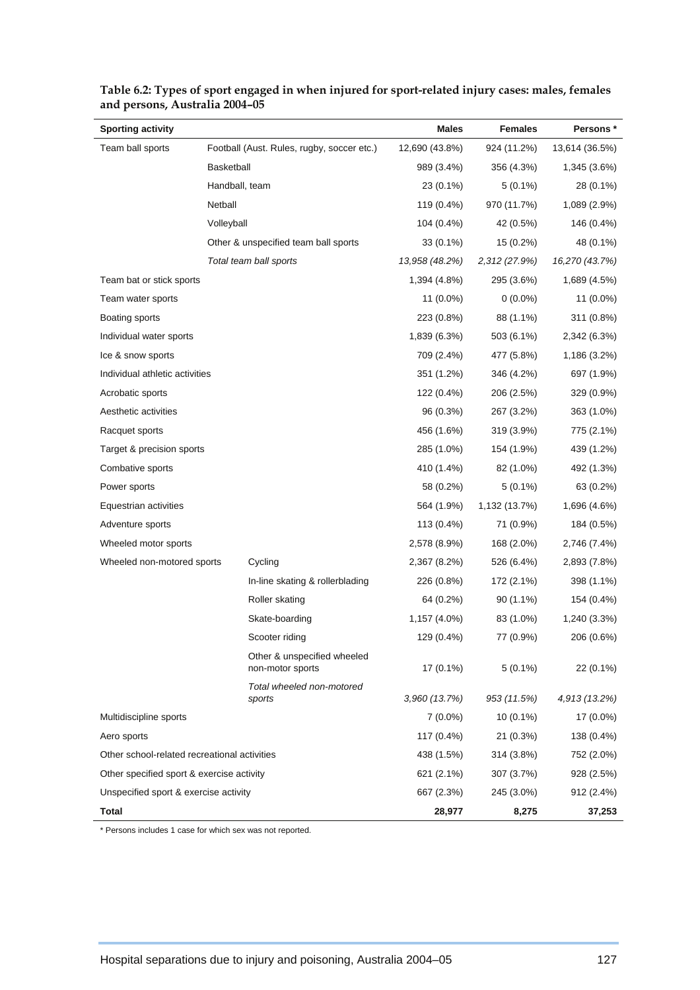| <b>Sporting activity</b>                     |                                                 | Males          | <b>Females</b> | Persons *      |
|----------------------------------------------|-------------------------------------------------|----------------|----------------|----------------|
| Team ball sports                             | Football (Aust. Rules, rugby, soccer etc.)      | 12,690 (43.8%) | 924 (11.2%)    | 13,614 (36.5%) |
|                                              | <b>Basketball</b>                               | 989 (3.4%)     | 356 (4.3%)     | 1,345 (3.6%)   |
|                                              | Handball, team                                  | 23 (0.1%)      | $5(0.1\%)$     | 28 (0.1%)      |
|                                              | Netball                                         | 119 (0.4%)     | 970 (11.7%)    | 1,089 (2.9%)   |
|                                              | Volleyball                                      | 104 (0.4%)     | 42 (0.5%)      | 146 (0.4%)     |
|                                              | Other & unspecified team ball sports            | 33 (0.1%)      | 15 (0.2%)      | 48 (0.1%)      |
|                                              | Total team ball sports                          | 13,958 (48.2%) | 2,312 (27.9%)  | 16,270 (43.7%) |
| Team bat or stick sports                     |                                                 | 1,394 (4.8%)   | 295 (3.6%)     | 1,689 (4.5%)   |
| Team water sports                            |                                                 | $11(0.0\%)$    | $0(0.0\%)$     | 11 (0.0%)      |
| Boating sports                               |                                                 | 223 (0.8%)     | 88 (1.1%)      | 311 (0.8%)     |
| Individual water sports                      |                                                 | 1,839 (6.3%)   | 503 (6.1%)     | 2,342 (6.3%)   |
| Ice & snow sports                            |                                                 | 709 (2.4%)     | 477 (5.8%)     | 1,186 (3.2%)   |
| Individual athletic activities               |                                                 | 351 (1.2%)     | 346 (4.2%)     | 697 (1.9%)     |
| Acrobatic sports                             |                                                 | 122 (0.4%)     | 206 (2.5%)     | 329 (0.9%)     |
| Aesthetic activities                         |                                                 | 96 (0.3%)      | 267 (3.2%)     | 363 (1.0%)     |
| Racquet sports                               |                                                 | 456 (1.6%)     | 319 (3.9%)     | 775 (2.1%)     |
| Target & precision sports                    |                                                 | 285 (1.0%)     | 154 (1.9%)     | 439 (1.2%)     |
| Combative sports                             |                                                 | 410 (1.4%)     | 82 (1.0%)      | 492 (1.3%)     |
| Power sports                                 |                                                 | 58 (0.2%)      | $5(0.1\%)$     | 63 (0.2%)      |
| Equestrian activities                        |                                                 | 564 (1.9%)     | 1,132 (13.7%)  | 1,696 (4.6%)   |
| Adventure sports                             |                                                 | 113 (0.4%)     | 71 (0.9%)      | 184 (0.5%)     |
| Wheeled motor sports                         |                                                 | 2,578 (8.9%)   | 168 (2.0%)     | 2,746 (7.4%)   |
| Wheeled non-motored sports                   | Cycling                                         | 2,367 (8.2%)   | 526 (6.4%)     | 2,893 (7.8%)   |
|                                              | In-line skating & rollerblading                 | 226 (0.8%)     | 172 (2.1%)     | 398 (1.1%)     |
|                                              | Roller skating                                  | 64 (0.2%)      | $90(1.1\%)$    | 154 (0.4%)     |
|                                              | Skate-boarding                                  | 1,157 (4.0%)   | 83 (1.0%)      | 1,240 (3.3%)   |
|                                              | Scooter riding                                  | 129 (0.4%)     | 77 (0.9%)      | 206 (0.6%)     |
|                                              | Other & unspecified wheeled<br>non-motor sports | $17(0.1\%)$    | $5(0.1\%)$     | 22 (0.1%)      |
|                                              | Total wheeled non-motored<br>sports             | 3,960 (13.7%)  | 953 (11.5%)    | 4,913 (13.2%)  |
| Multidiscipline sports                       |                                                 | $7(0.0\%)$     | $10(0.1\%)$    | 17 (0.0%)      |
| Aero sports                                  |                                                 | 117 (0.4%)     | 21(0.3%)       | 138 (0.4%)     |
| Other school-related recreational activities |                                                 | 438 (1.5%)     | 314 (3.8%)     | 752 (2.0%)     |
| Other specified sport & exercise activity    |                                                 | 621 (2.1%)     | 307 (3.7%)     | 928 (2.5%)     |
| Unspecified sport & exercise activity        |                                                 | 667 (2.3%)     | 245 (3.0%)     | 912 (2.4%)     |
| <b>Total</b>                                 |                                                 | 28,977         | 8,275          | 37,253         |

**Table 6.2: Types of sport engaged in when injured for sport-related injury cases: males, females and persons, Australia 2004–05** 

\* Persons includes 1 case for which sex was not reported.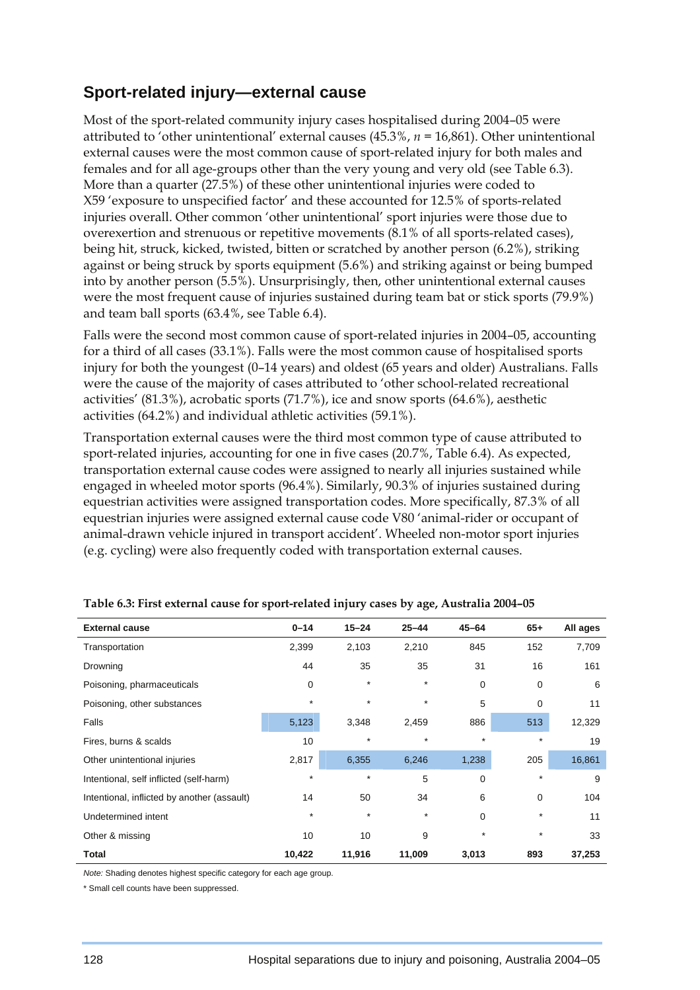### **Sport-related injury—external cause**

Most of the sport-related community injury cases hospitalised during 2004–05 were attributed to 'other unintentional' external causes (45.3%, *n =* 16,861). Other unintentional external causes were the most common cause of sport-related injury for both males and females and for all age-groups other than the very young and very old (see Table 6.3). More than a quarter (27.5%) of these other unintentional injuries were coded to X59 'exposure to unspecified factor' and these accounted for 12.5% of sports-related injuries overall. Other common 'other unintentional' sport injuries were those due to overexertion and strenuous or repetitive movements (8.1% of all sports-related cases), being hit, struck, kicked, twisted, bitten or scratched by another person (6.2%), striking against or being struck by sports equipment (5.6%) and striking against or being bumped into by another person (5.5%). Unsurprisingly, then, other unintentional external causes were the most frequent cause of injuries sustained during team bat or stick sports (79.9%) and team ball sports (63.4%, see Table 6.4).

Falls were the second most common cause of sport-related injuries in 2004–05, accounting for a third of all cases (33.1%). Falls were the most common cause of hospitalised sports injury for both the youngest (0–14 years) and oldest (65 years and older) Australians. Falls were the cause of the majority of cases attributed to 'other school-related recreational activities' (81.3%), acrobatic sports (71.7%), ice and snow sports (64.6%), aesthetic activities (64.2%) and individual athletic activities (59.1%).

Transportation external causes were the third most common type of cause attributed to sport-related injuries, accounting for one in five cases (20.7%, Table 6.4). As expected, transportation external cause codes were assigned to nearly all injuries sustained while engaged in wheeled motor sports (96.4%). Similarly, 90.3% of injuries sustained during equestrian activities were assigned transportation codes. More specifically, 87.3% of all equestrian injuries were assigned external cause code V80 'animal-rider or occupant of animal-drawn vehicle injured in transport accident'. Wheeled non-motor sport injuries (e.g. cycling) were also frequently coded with transportation external causes.

| <b>External cause</b>                       | $0 - 14$ | $15 - 24$ | $25 - 44$ | $45 - 64$ | $65+$       | All ages |
|---------------------------------------------|----------|-----------|-----------|-----------|-------------|----------|
| Transportation                              | 2,399    | 2,103     | 2,210     | 845       | 152         | 7,709    |
| Drowning                                    | 44       | 35        | 35        | 31        | 16          | 161      |
| Poisoning, pharmaceuticals                  | 0        | $\star$   | $\star$   | 0         | $\mathbf 0$ | 6        |
| Poisoning, other substances                 | $\star$  | $\star$   | $\star$   | 5         | $\mathbf 0$ | 11       |
| Falls                                       | 5,123    | 3,348     | 2,459     | 886       | 513         | 12,329   |
| Fires, burns & scalds                       | 10       | $\star$   | $\star$   | $\star$   | $\star$     | 19       |
| Other unintentional injuries                | 2,817    | 6,355     | 6,246     | 1,238     | 205         | 16,861   |
| Intentional, self inflicted (self-harm)     | $\star$  | $\star$   | 5         | 0         | $\star$     | 9        |
| Intentional, inflicted by another (assault) | 14       | 50        | 34        | 6         | $\mathbf 0$ | 104      |
| Undetermined intent                         | $\star$  | $\star$   | $\star$   | $\Omega$  | $\star$     | 11       |
| Other & missing                             | 10       | 10        | 9         | $^\star$  | $\star$     | 33       |
| <b>Total</b>                                | 10,422   | 11,916    | 11,009    | 3,013     | 893         | 37,253   |

| Table 6.3: First external cause for sport-related injury cases by age, Australia 2004-05 |  |  |
|------------------------------------------------------------------------------------------|--|--|
|                                                                                          |  |  |

*Note:* Shading denotes highest specific category for each age group.

\* Small cell counts have been suppressed.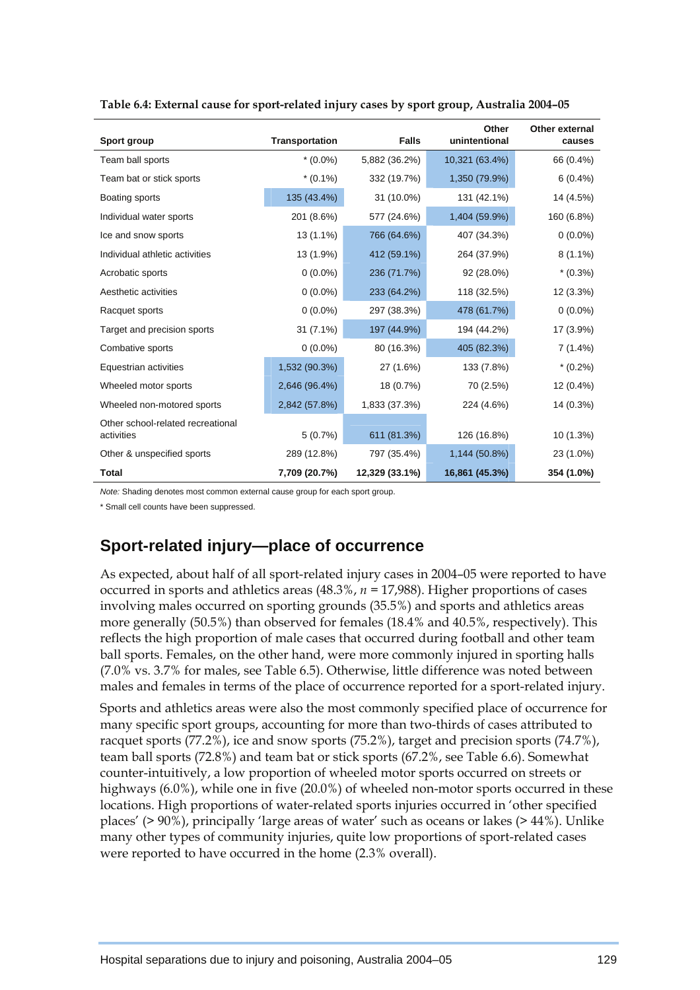| Sport group                                     | <b>Transportation</b> | <b>Falls</b>   | Other<br>unintentional | Other external<br>causes |
|-------------------------------------------------|-----------------------|----------------|------------------------|--------------------------|
| Team ball sports                                | $*(0.0\%)$            | 5,882 (36.2%)  | 10,321 (63.4%)         | 66 (0.4%)                |
| Team bat or stick sports                        | $*(0.1\%)$            | 332 (19.7%)    | 1,350 (79.9%)          | $6(0.4\%)$               |
| Boating sports                                  | 135 (43.4%)           | 31 (10.0%)     | 131 (42.1%)            | 14 (4.5%)                |
| Individual water sports                         | 201 (8.6%)            | 577 (24.6%)    | 1,404 (59.9%)          | 160 (6.8%)               |
| Ice and snow sports                             | 13 (1.1%)             | 766 (64.6%)    | 407 (34.3%)            | $0(0.0\%)$               |
| Individual athletic activities                  | 13 (1.9%)             | 412 (59.1%)    | 264 (37.9%)            | $8(1.1\%)$               |
| Acrobatic sports                                | $0(0.0\%)$            | 236 (71.7%)    | 92 (28.0%)             | $*(0.3\%)$               |
| Aesthetic activities                            | $0(0.0\%)$            | 233 (64.2%)    | 118 (32.5%)            | 12 (3.3%)                |
| Racquet sports                                  | $0(0.0\%)$            | 297 (38.3%)    | 478 (61.7%)            | $0(0.0\%)$               |
| Target and precision sports                     | 31 (7.1%)             | 197 (44.9%)    | 194 (44.2%)            | 17 (3.9%)                |
| Combative sports                                | $0(0.0\%)$            | 80 (16.3%)     | 405 (82.3%)            | $7(1.4\%)$               |
| Equestrian activities                           | 1,532 (90.3%)         | 27 (1.6%)      | 133 (7.8%)             | $*(0.2\%)$               |
| Wheeled motor sports                            | 2,646 (96.4%)         | 18 (0.7%)      | 70 (2.5%)              | 12 (0.4%)                |
| Wheeled non-motored sports                      | 2,842 (57.8%)         | 1,833 (37.3%)  | 224 (4.6%)             | 14 (0.3%)                |
| Other school-related recreational<br>activities | 5(0.7%)               | 611 (81.3%)    | 126 (16.8%)            | 10 (1.3%)                |
| Other & unspecified sports                      | 289 (12.8%)           | 797 (35.4%)    | 1,144 (50.8%)          | 23 (1.0%)                |
| Total                                           | 7,709 (20.7%)         | 12,329 (33.1%) | 16,861 (45.3%)         | 354 (1.0%)               |

**Table 6.4: External cause for sport-related injury cases by sport group, Australia 2004–05** 

*Note:* Shading denotes most common external cause group for each sport group.

\* Small cell counts have been suppressed.

## **Sport-related injury—place of occurrence**

As expected, about half of all sport-related injury cases in 2004–05 were reported to have occurred in sports and athletics areas (48.3%, *n =* 17,988). Higher proportions of cases involving males occurred on sporting grounds (35.5%) and sports and athletics areas more generally (50.5%) than observed for females (18.4% and 40.5%, respectively). This reflects the high proportion of male cases that occurred during football and other team ball sports. Females, on the other hand, were more commonly injured in sporting halls (7.0% vs. 3.7% for males, see Table 6.5). Otherwise, little difference was noted between males and females in terms of the place of occurrence reported for a sport-related injury.

Sports and athletics areas were also the most commonly specified place of occurrence for many specific sport groups, accounting for more than two-thirds of cases attributed to racquet sports (77.2%), ice and snow sports (75.2%), target and precision sports (74.7%), team ball sports (72.8%) and team bat or stick sports (67.2%, see Table 6.6). Somewhat counter-intuitively, a low proportion of wheeled motor sports occurred on streets or highways (6.0%), while one in five (20.0%) of wheeled non-motor sports occurred in these locations. High proportions of water-related sports injuries occurred in 'other specified places' (> 90%), principally 'large areas of water' such as oceans or lakes (> 44%). Unlike many other types of community injuries, quite low proportions of sport-related cases were reported to have occurred in the home (2.3% overall).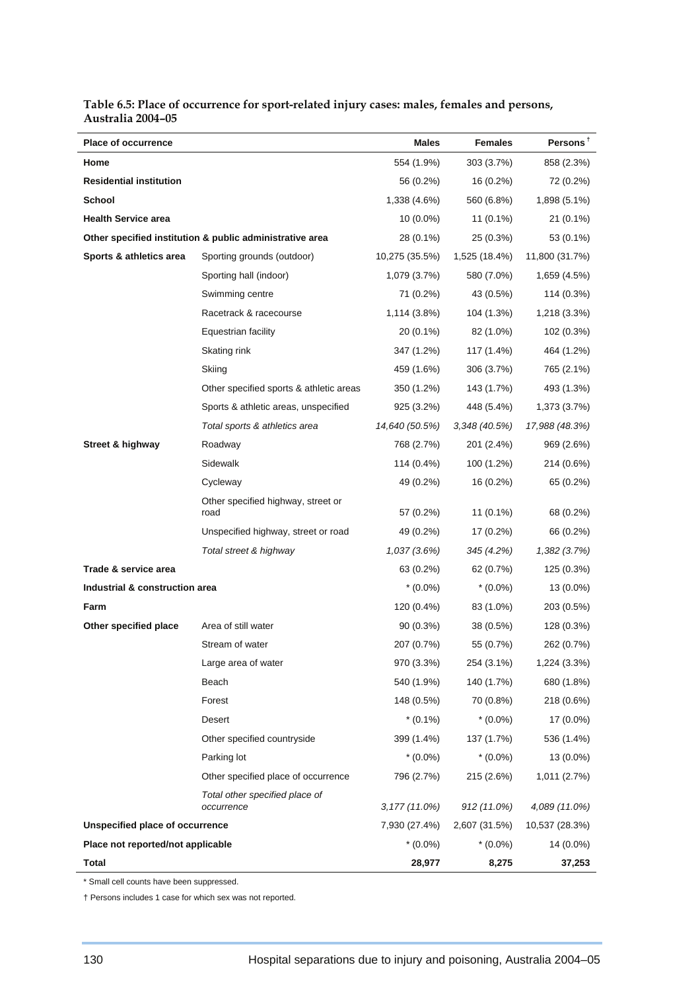| <b>Place of occurrence</b>        |                                                          | Males           | <b>Females</b> | Persons <sup>†</sup> |
|-----------------------------------|----------------------------------------------------------|-----------------|----------------|----------------------|
| Home                              |                                                          | 554 (1.9%)      | 303 (3.7%)     | 858 (2.3%)           |
| <b>Residential institution</b>    |                                                          | 56 (0.2%)       | 16 (0.2%)      | 72 (0.2%)            |
| <b>School</b>                     |                                                          | 1,338 (4.6%)    | 560 (6.8%)     | 1,898 (5.1%)         |
| <b>Health Service area</b>        |                                                          | $10(0.0\%)$     | $11(0.1\%)$    | 21 (0.1%)            |
|                                   | Other specified institution & public administrative area | 28 (0.1%)       | 25 (0.3%)      | 53 (0.1%)            |
| Sports & athletics area           | Sporting grounds (outdoor)                               | 10,275 (35.5%)  | 1,525 (18.4%)  | 11,800 (31.7%)       |
|                                   | Sporting hall (indoor)                                   | 1,079 (3.7%)    | 580 (7.0%)     | 1,659 (4.5%)         |
|                                   | Swimming centre                                          | 71 (0.2%)       | 43 (0.5%)      | 114 (0.3%)           |
|                                   | Racetrack & racecourse                                   | 1,114 (3.8%)    | 104 (1.3%)     | 1,218 (3.3%)         |
|                                   | Equestrian facility                                      | 20 (0.1%)       | 82 (1.0%)      | 102 (0.3%)           |
|                                   | Skating rink                                             | 347 (1.2%)      | 117 (1.4%)     | 464 (1.2%)           |
|                                   | Skiing                                                   | 459 (1.6%)      | 306 (3.7%)     | 765 (2.1%)           |
|                                   | Other specified sports & athletic areas                  | 350 (1.2%)      | 143 (1.7%)     | 493 (1.3%)           |
|                                   | Sports & athletic areas, unspecified                     | 925 (3.2%)      | 448 (5.4%)     | 1,373 (3.7%)         |
|                                   | Total sports & athletics area                            | 14,640 (50.5%)  | 3,348 (40.5%)  | 17,988 (48.3%)       |
| Street & highway                  | Roadway                                                  | 768 (2.7%)      | 201 (2.4%)     | 969 (2.6%)           |
|                                   | Sidewalk                                                 | 114 (0.4%)      | 100 (1.2%)     | 214 (0.6%)           |
|                                   | Cycleway                                                 | 49 (0.2%)       | 16 (0.2%)      | 65 (0.2%)            |
|                                   | Other specified highway, street or<br>road               | 57 (0.2%)       | 11 (0.1%)      | 68 (0.2%)            |
|                                   | Unspecified highway, street or road                      | 49 (0.2%)       | 17 (0.2%)      | 66 (0.2%)            |
|                                   | Total street & highway                                   | 1,037(3.6%)     | 345 (4.2%)     | 1,382(3.7%)          |
| Trade & service area              |                                                          | 63 (0.2%)       | 62 (0.7%)      | 125 (0.3%)           |
| Industrial & construction area    |                                                          | $*(0.0\%)$      | $*(0.0\%)$     | 13 (0.0%)            |
| Farm                              |                                                          | 120 (0.4%)      | 83 (1.0%)      | 203 (0.5%)           |
| Other specified place             | Area of still water                                      | $90(0.3\%)$     | 38 (0.5%)      | 128 (0.3%)           |
|                                   | Stream of water                                          | 207 (0.7%)      | 55 (0.7%)      | 262 (0.7%)           |
|                                   | Large area of water                                      | 970 (3.3%)      | 254 (3.1%)     | 1,224 (3.3%)         |
|                                   | Beach                                                    | 540 (1.9%)      | 140 (1.7%)     | 680 (1.8%)           |
|                                   | Forest                                                   | 148 (0.5%)      | 70 (0.8%)      | 218 (0.6%)           |
|                                   | Desert                                                   | $*(0.1\%)$      | $*(0.0\%)$     | 17 (0.0%)            |
|                                   | Other specified countryside                              | 399 (1.4%)      | 137 (1.7%)     | 536 (1.4%)           |
|                                   | Parking lot                                              | $*(0.0\%)$      | $*(0.0\%)$     | 13 (0.0%)            |
|                                   | Other specified place of occurrence                      | 796 (2.7%)      | 215 (2.6%)     | 1,011 (2.7%)         |
|                                   | Total other specified place of<br>occurrence             | $3,177(11.0\%)$ | 912 (11.0%)    | 4,089 (11.0%)        |
| Unspecified place of occurrence   |                                                          | 7,930 (27.4%)   | 2,607 (31.5%)  | 10,537 (28.3%)       |
| Place not reported/not applicable |                                                          | $*(0.0\%)$      | $*(0.0\%)$     | 14 (0.0%)            |
| <b>Total</b>                      |                                                          | 28,977          | 8,275          | 37,253               |

#### **Table 6.5: Place of occurrence for sport-related injury cases: males, females and persons, Australia 2004–05**

\* Small cell counts have been suppressed.

† Persons includes 1 case for which sex was not reported.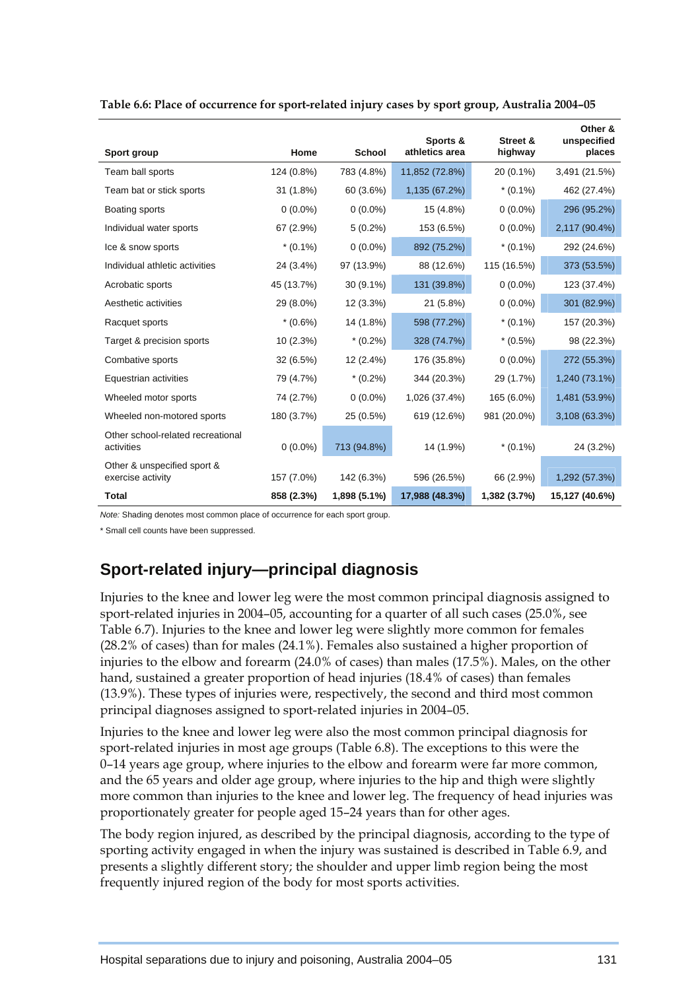|                                                  | Home        | <b>School</b> | Sports &<br>athletics area | Street &     | Other &<br>unspecified<br>places |
|--------------------------------------------------|-------------|---------------|----------------------------|--------------|----------------------------------|
| Sport group                                      |             |               |                            | highway      |                                  |
| Team ball sports                                 | 124 (0.8%)  | 783 (4.8%)    | 11,852 (72.8%)             | 20 (0.1%)    | 3,491 (21.5%)                    |
| Team bat or stick sports                         | $31(1.8\%)$ | 60 (3.6%)     | 1,135 (67.2%)              | $*(0.1\%)$   | 462 (27.4%)                      |
| Boating sports                                   | $0(0.0\%)$  | $0(0.0\%)$    | 15 (4.8%)                  | $0(0.0\%)$   | 296 (95.2%)                      |
| Individual water sports                          | 67 (2.9%)   | $5(0.2\%)$    | 153 (6.5%)                 | $0(0.0\%)$   | 2,117 (90.4%)                    |
| Ice & snow sports                                | $*(0.1\%)$  | $0(0.0\%)$    | 892 (75.2%)                | $*(0.1\%)$   | 292 (24.6%)                      |
| Individual athletic activities                   | 24 (3.4%)   | 97 (13.9%)    | 88 (12.6%)                 | 115 (16.5%)  | 373 (53.5%)                      |
| Acrobatic sports                                 | 45 (13.7%)  | 30 (9.1%)     | 131 (39.8%)                | $0(0.0\%)$   | 123 (37.4%)                      |
| Aesthetic activities                             | 29 (8.0%)   | 12 (3.3%)     | 21 (5.8%)                  | $0(0.0\%)$   | 301 (82.9%)                      |
| Racquet sports                                   | $*(0.6\%)$  | 14 (1.8%)     | 598 (77.2%)                | $*(0.1\%)$   | 157 (20.3%)                      |
| Target & precision sports                        | 10 (2.3%)   | $*(0.2\%)$    | 328 (74.7%)                | $*(0.5\%)$   | 98 (22.3%)                       |
| Combative sports                                 | 32 (6.5%)   | 12 (2.4%)     | 176 (35.8%)                | $0(0.0\%)$   | 272 (55.3%)                      |
| Equestrian activities                            | 79 (4.7%)   | $*(0.2\%)$    | 344 (20.3%)                | 29 (1.7%)    | 1,240 (73.1%)                    |
| Wheeled motor sports                             | 74 (2.7%)   | $0(0.0\%)$    | 1,026 (37.4%)              | 165 (6.0%)   | 1,481 (53.9%)                    |
| Wheeled non-motored sports                       | 180 (3.7%)  | 25 (0.5%)     | 619 (12.6%)                | 981 (20.0%)  | 3,108 (63.3%)                    |
| Other school-related recreational<br>activities  | $0(0.0\%)$  | 713 (94.8%)   | 14 (1.9%)                  | $*(0.1\%)$   | 24 (3.2%)                        |
| Other & unspecified sport &<br>exercise activity | 157 (7.0%)  | 142 (6.3%)    | 596 (26.5%)                | 66 (2.9%)    | 1,292 (57.3%)                    |
| <b>Total</b>                                     | 858 (2.3%)  | 1,898 (5.1%)  | 17,988 (48.3%)             | 1,382 (3.7%) | 15,127 (40.6%)                   |

| Table 6.6: Place of occurrence for sport-related injury cases by sport group, Australia 2004-05 |  |  |  |
|-------------------------------------------------------------------------------------------------|--|--|--|
|                                                                                                 |  |  |  |

*Note:* Shading denotes most common place of occurrence for each sport group.

\* Small cell counts have been suppressed.

# **Sport-related injury—principal diagnosis**

Injuries to the knee and lower leg were the most common principal diagnosis assigned to sport-related injuries in 2004–05, accounting for a quarter of all such cases (25.0%, see Table 6.7). Injuries to the knee and lower leg were slightly more common for females (28.2% of cases) than for males (24.1%). Females also sustained a higher proportion of injuries to the elbow and forearm (24.0% of cases) than males (17.5%). Males, on the other hand, sustained a greater proportion of head injuries (18.4% of cases) than females (13.9%). These types of injuries were, respectively, the second and third most common principal diagnoses assigned to sport-related injuries in 2004–05.

Injuries to the knee and lower leg were also the most common principal diagnosis for sport-related injuries in most age groups (Table 6.8). The exceptions to this were the 0–14 years age group, where injuries to the elbow and forearm were far more common, and the 65 years and older age group, where injuries to the hip and thigh were slightly more common than injuries to the knee and lower leg. The frequency of head injuries was proportionately greater for people aged 15–24 years than for other ages.

The body region injured, as described by the principal diagnosis, according to the type of sporting activity engaged in when the injury was sustained is described in Table 6.9, and presents a slightly different story; the shoulder and upper limb region being the most frequently injured region of the body for most sports activities.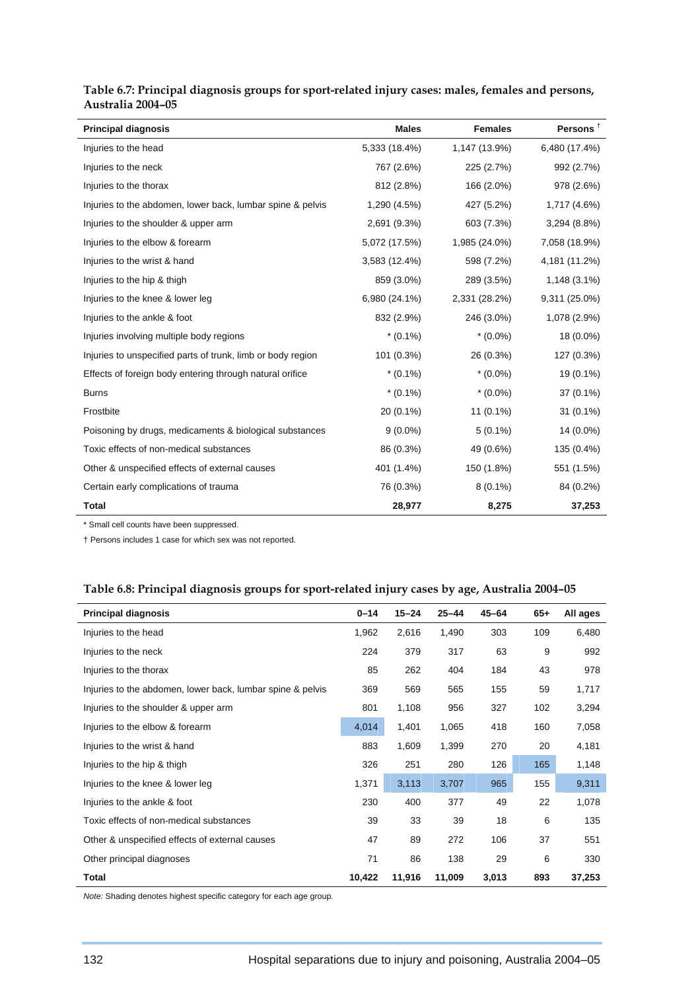| <b>Principal diagnosis</b>                                  | <b>Males</b>  | <b>Females</b> | Persons <sup>t</sup> |
|-------------------------------------------------------------|---------------|----------------|----------------------|
| Injuries to the head                                        | 5,333 (18.4%) | 1,147 (13.9%)  | 6,480 (17.4%)        |
| Injuries to the neck                                        | 767 (2.6%)    | 225 (2.7%)     | 992 (2.7%)           |
| Injuries to the thorax                                      | 812 (2.8%)    | 166 (2.0%)     | 978 (2.6%)           |
| Injuries to the abdomen, lower back, lumbar spine & pelvis  | 1,290 (4.5%)  | 427 (5.2%)     | 1,717 (4.6%)         |
| Injuries to the shoulder & upper arm                        | 2,691 (9.3%)  | 603 (7.3%)     | 3,294 (8.8%)         |
| Injuries to the elbow & forearm                             | 5,072 (17.5%) | 1,985 (24.0%)  | 7,058 (18.9%)        |
| Injuries to the wrist & hand                                | 3,583 (12.4%) | 598 (7.2%)     | 4,181 (11.2%)        |
| Injuries to the hip & thigh                                 | 859 (3.0%)    | 289 (3.5%)     | 1,148 (3.1%)         |
| Injuries to the knee & lower leg                            | 6,980 (24.1%) | 2,331 (28.2%)  | 9,311 (25.0%)        |
| Injuries to the ankle & foot                                | 832 (2.9%)    | 246 (3.0%)     | 1,078 (2.9%)         |
| Injuries involving multiple body regions                    | $*(0.1\%)$    | $*(0.0\%)$     | 18 (0.0%)            |
| Injuries to unspecified parts of trunk, limb or body region | 101 (0.3%)    | 26 (0.3%)      | 127 (0.3%)           |
| Effects of foreign body entering through natural orifice    | $*(0.1\%)$    | $*(0.0\%)$     | 19 (0.1%)            |
| <b>Burns</b>                                                | $*(0.1\%)$    | $*(0.0\%)$     | 37 (0.1%)            |
| Frostbite                                                   | 20 (0.1%)     | 11 (0.1%)      | $31(0.1\%)$          |
| Poisoning by drugs, medicaments & biological substances     | $9(0.0\%)$    | $5(0.1\%)$     | 14 (0.0%)            |
| Toxic effects of non-medical substances                     | 86 (0.3%)     | 49 (0.6%)      | 135 (0.4%)           |
| Other & unspecified effects of external causes              | 401 (1.4%)    | 150 (1.8%)     | 551 (1.5%)           |
| Certain early complications of trauma                       | 76 (0.3%)     | $8(0.1\%)$     | 84 (0.2%)            |
| <b>Total</b>                                                | 28,977        | 8,275          | 37,253               |

### **Table 6.7: Principal diagnosis groups for sport-related injury cases: males, females and persons, Australia 2004–05**

\* Small cell counts have been suppressed.

† Persons includes 1 case for which sex was not reported.

### **Table 6.8: Principal diagnosis groups for sport-related injury cases by age, Australia 2004–05**

| <b>Principal diagnosis</b>                                 | $0 - 14$ | $15 - 24$ | $25 - 44$ | $45 - 64$ | $65+$ | All ages |
|------------------------------------------------------------|----------|-----------|-----------|-----------|-------|----------|
| Injuries to the head                                       | 1,962    | 2,616     | 1,490     | 303       | 109   | 6,480    |
| Injuries to the neck                                       | 224      | 379       | 317       | 63        | 9     | 992      |
|                                                            |          |           |           |           |       |          |
| Injuries to the thorax                                     | 85       | 262       | 404       | 184       | 43    | 978      |
| Injuries to the abdomen, lower back, lumbar spine & pelvis | 369      | 569       | 565       | 155       | 59    | 1,717    |
| Injuries to the shoulder & upper arm                       | 801      | 1,108     | 956       | 327       | 102   | 3,294    |
| Injuries to the elbow & forearm                            | 4,014    | 1,401     | 1,065     | 418       | 160   | 7,058    |
| Injuries to the wrist & hand                               | 883      | 1,609     | 1,399     | 270       | 20    | 4,181    |
| Injuries to the hip & thigh                                | 326      | 251       | 280       | 126       | 165   | 1,148    |
| Injuries to the knee & lower leg                           | 1,371    | 3,113     | 3,707     | 965       | 155   | 9,311    |
| Injuries to the ankle & foot                               | 230      | 400       | 377       | 49        | 22    | 1,078    |
| Toxic effects of non-medical substances                    | 39       | 33        | 39        | 18        | 6     | 135      |
| Other & unspecified effects of external causes             | 47       | 89        | 272       | 106       | 37    | 551      |
| Other principal diagnoses                                  | 71       | 86        | 138       | 29        | 6     | 330      |
| Total                                                      | 10,422   | 11,916    | 11,009    | 3,013     | 893   | 37,253   |

*Note:* Shading denotes highest specific category for each age group.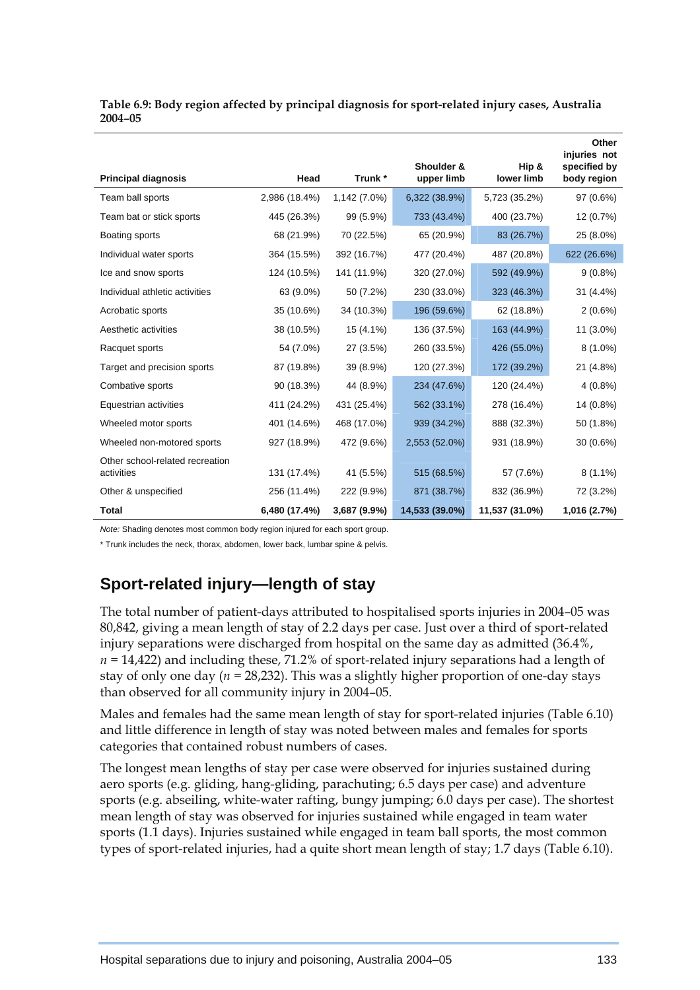| Table 6.9: Body region affected by principal diagnosis for sport-related injury cases, Australia |  |
|--------------------------------------------------------------------------------------------------|--|
| 2004-05                                                                                          |  |

|                                               |               |              |                          |                     | Other<br>injuries not       |
|-----------------------------------------------|---------------|--------------|--------------------------|---------------------|-----------------------------|
| <b>Principal diagnosis</b>                    | Head          | Trunk *      | Shoulder &<br>upper limb | Hip &<br>lower limb | specified by<br>body region |
| Team ball sports                              | 2,986 (18.4%) | 1,142 (7.0%) | 6,322 (38.9%)            | 5,723 (35.2%)       | 97 (0.6%)                   |
| Team bat or stick sports                      | 445 (26.3%)   | 99 (5.9%)    | 733 (43.4%)              | 400 (23.7%)         | 12 (0.7%)                   |
| Boating sports                                | 68 (21.9%)    | 70 (22.5%)   | 65 (20.9%)               | 83 (26.7%)          | 25 (8.0%)                   |
| Individual water sports                       | 364 (15.5%)   | 392 (16.7%)  | 477 (20.4%)              | 487 (20.8%)         | 622 (26.6%)                 |
| Ice and snow sports                           | 124 (10.5%)   | 141 (11.9%)  | 320 (27.0%)              | 592 (49.9%)         | $9(0.8\%)$                  |
| Individual athletic activities                | 63 (9.0%)     | 50 (7.2%)    | 230 (33.0%)              | 323 (46.3%)         | 31 (4.4%)                   |
| Acrobatic sports                              | 35 (10.6%)    | 34 (10.3%)   | 196 (59.6%)              | 62 (18.8%)          | $2(0.6\%)$                  |
| Aesthetic activities                          | 38 (10.5%)    | 15 (4.1%)    | 136 (37.5%)              | 163 (44.9%)         | $11(3.0\%)$                 |
| Racquet sports                                | 54 (7.0%)     | 27 (3.5%)    | 260 (33.5%)              | 426 (55.0%)         | $8(1.0\%)$                  |
| Target and precision sports                   | 87 (19.8%)    | 39 (8.9%)    | 120 (27.3%)              | 172 (39.2%)         | 21 (4.8%)                   |
| Combative sports                              | 90 (18.3%)    | 44 (8.9%)    | 234 (47.6%)              | 120 (24.4%)         | $4(0.8\%)$                  |
| Equestrian activities                         | 411 (24.2%)   | 431 (25.4%)  | 562 (33.1%)              | 278 (16.4%)         | 14 (0.8%)                   |
| Wheeled motor sports                          | 401 (14.6%)   | 468 (17.0%)  | 939 (34.2%)              | 888 (32.3%)         | 50 (1.8%)                   |
| Wheeled non-motored sports                    | 927 (18.9%)   | 472 (9.6%)   | 2,553 (52.0%)            | 931 (18.9%)         | 30 (0.6%)                   |
| Other school-related recreation<br>activities | 131 (17.4%)   | 41 (5.5%)    | 515 (68.5%)              | 57 (7.6%)           | $8(1.1\%)$                  |
| Other & unspecified                           | 256 (11.4%)   | 222 (9.9%)   | 871 (38.7%)              | 832 (36.9%)         | 72 (3.2%)                   |
| <b>Total</b>                                  | 6,480 (17.4%) | 3,687 (9.9%) | 14,533 (39.0%)           | 11,537 (31.0%)      | 1,016 (2.7%)                |

*Note:* Shading denotes most common body region injured for each sport group.

\* Trunk includes the neck, thorax, abdomen, lower back, lumbar spine & pelvis.

## **Sport-related injury—length of stay**

The total number of patient-days attributed to hospitalised sports injuries in 2004–05 was 80,842, giving a mean length of stay of 2.2 days per case. Just over a third of sport-related injury separations were discharged from hospital on the same day as admitted (36.4%, *n =* 14,422) and including these, 71.2% of sport-related injury separations had a length of stay of only one day (*n =* 28,232). This was a slightly higher proportion of one-day stays than observed for all community injury in 2004–05.

Males and females had the same mean length of stay for sport-related injuries (Table 6.10) and little difference in length of stay was noted between males and females for sports categories that contained robust numbers of cases.

The longest mean lengths of stay per case were observed for injuries sustained during aero sports (e.g. gliding, hang-gliding, parachuting; 6.5 days per case) and adventure sports (e.g. abseiling, white-water rafting, bungy jumping; 6.0 days per case). The shortest mean length of stay was observed for injuries sustained while engaged in team water sports (1.1 days). Injuries sustained while engaged in team ball sports, the most common types of sport-related injuries, had a quite short mean length of stay; 1.7 days (Table 6.10).